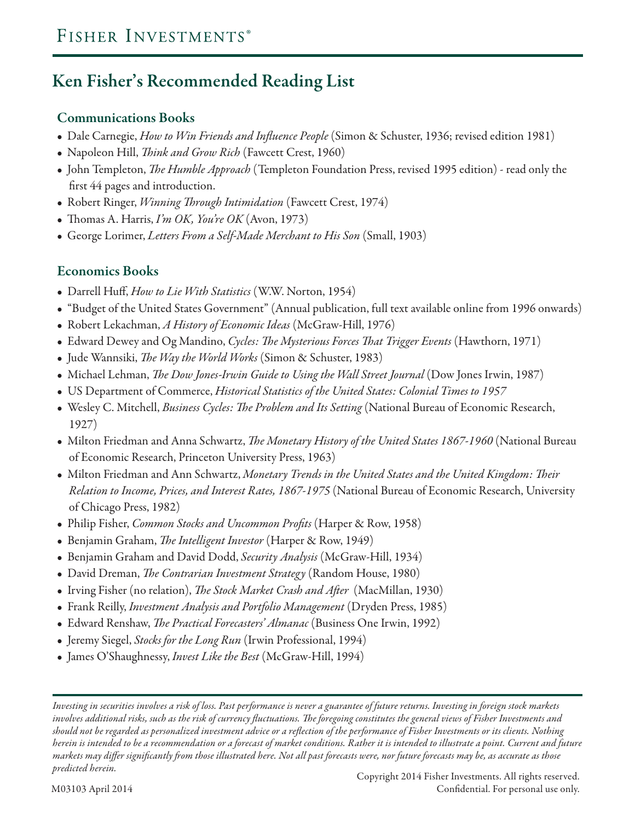## **Ken Fisher's Recommended Reading List**

#### **Communications Books**

- Dale Carnegie, *How to Win Friends and Influence People* (Simon & Schuster, 1936; revised edition 1981)
- Napoleon Hill, *Think and Grow Rich* (Fawcett Crest, 1960)
- John Templeton, *The Humble Approach* (Templeton Foundation Press, revised 1995 edition) read only the first 44 pages and introduction.
- Robert Ringer, *Winning Through Intimidation* (Fawcett Crest, 1974)
- Thomas A. Harris, *I'm OK, You're OK* (Avon, 1973)
- George Lorimer, *Letters From a Self-Made Merchant to His Son* (Small, 1903)

### **Economics Books**

- Darrell Huff, *How to Lie With Statistics* (W.W. Norton, 1954)
- "Budget of the United States Government" (Annual publication, full text available online from 1996 onwards)
- Robert Lekachman, *A History of Economic Ideas* (McGraw-Hill, 1976)
- Edward Dewey and Og Mandino, *Cycles: The Mysterious Forces That Trigger Events* (Hawthorn, 1971)
- Jude Wannsiki, *The Way the World Works* (Simon & Schuster, 1983)
- Michael Lehman, *The Dow Jones-Irwin Guide to Using the Wall Street Journal* (Dow Jones Irwin, 1987)
- US Department of Commerce, *Historical Statistics of the United States: Colonial Times to 1957*
- Wesley C. Mitchell, *Business Cycles: The Problem and Its Setting* (National Bureau of Economic Research, 1927)
- Milton Friedman and Anna Schwartz, *The Monetary History of the United States 1867-1960* (National Bureau of Economic Research, Princeton University Press, 1963)
- Milton Friedman and Ann Schwartz, *Monetary Trends in the United States and the United Kingdom: Their Relation to Income, Prices, and Interest Rates, 1867-1975* (National Bureau of Economic Research, University of Chicago Press, 1982)
- Philip Fisher, *Common Stocks and Uncommon Profits* (Harper & Row, 1958)
- Benjamin Graham, *The Intelligent Investor* (Harper & Row, 1949)
- Benjamin Graham and David Dodd, *Security Analysis* (McGraw-Hill, 1934)
- David Dreman, *The Contrarian Investment Strategy* (Random House, 1980)
- Irving Fisher (no relation), *The Stock Market Crash and After* (MacMillan, 1930)
- Frank Reilly, *Investment Analysis and Portfolio Management* (Dryden Press, 1985)
- Edward Renshaw, *The Practical Forecasters' Almanac* (Business One Irwin, 1992)
- Jeremy Siegel, *Stocks for the Long Run* (Irwin Professional, 1994)
- James O'Shaughnessy, *Invest Like the Best* (McGraw-Hill, 1994)

*Investing in securities involves a risk of loss. Past performance is never a guarantee of future returns. Investing in foreign stock markets involves additional risks, such as the risk of currency fluctuations. The foregoing constitutes the general views of Fisher Investments and should not be regarded as personalized investment advice or a reflection of the performance of Fisher Investments or its clients. Nothing herein is intended to be a recommendation or a forecast of market conditions. Rather it is intended to illustrate a point. Current and future markets may differ significantly from those illustrated here. Not all past forecasts were, nor future forecasts may be, as accurate as those predicted herein.*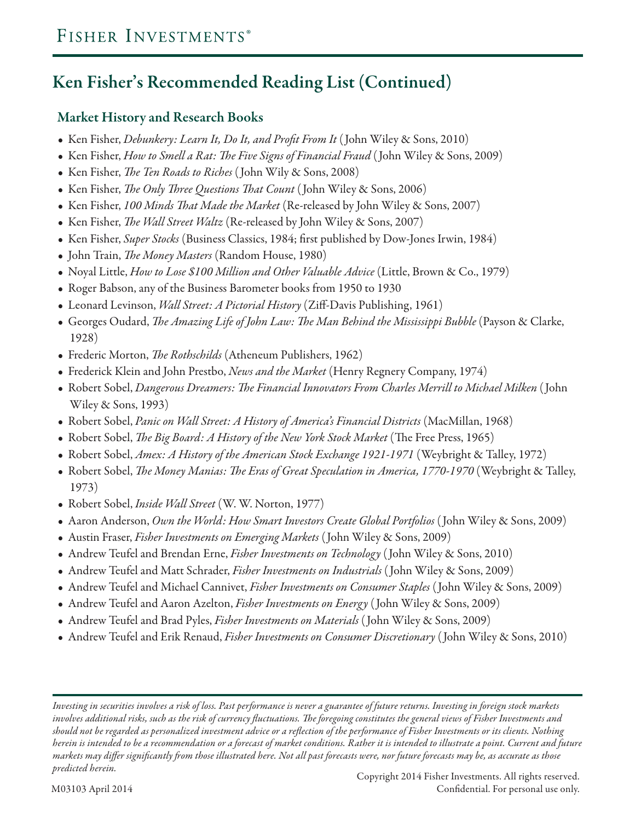## **Ken Fisher's Recommended Reading List (Continued)**

### **Market History and Research Books**

- Ken Fisher, *Debunkery: Learn It, Do It, and Profit From It* ( John Wiley & Sons, 2010)
- Ken Fisher, *How to Smell a Rat: The Five Signs of Financial Fraud* ( John Wiley & Sons, 2009)
- Ken Fisher, *The Ten Roads to Riches* ( John Wily & Sons, 2008)
- Ken Fisher, *The Only Three Questions That Count* ( John Wiley & Sons, 2006)
- Ken Fisher, *100 Minds That Made the Market* (Re-released by John Wiley & Sons, 2007)
- Ken Fisher, *The Wall Street Waltz* (Re-released by John Wiley & Sons, 2007)
- Ken Fisher, *Super Stocks* (Business Classics, 1984; first published by Dow-Jones Irwin, 1984)
- John Train, *The Money Masters* (Random House, 1980)
- Noyal Little, *How to Lose \$100 Million and Other Valuable Advice* (Little, Brown & Co., 1979)
- Roger Babson, any of the Business Barometer books from 1950 to 1930
- Leonard Levinson, *Wall Street: A Pictorial History* (Ziff-Davis Publishing, 1961)
- Georges Oudard, *The Amazing Life of John Law: The Man Behind the Mississippi Bubble* (Payson & Clarke, 1928)
- Frederic Morton, *The Rothschilds* (Atheneum Publishers, 1962)
- Frederick Klein and John Prestbo, *News and the Market* (Henry Regnery Company, 1974)
- Robert Sobel, *Dangerous Dreamers: The Financial Innovators From Charles Merrill to Michael Milken* ( John Wiley & Sons, 1993)
- Robert Sobel, *Panic on Wall Street: A History of America's Financial Districts* (MacMillan, 1968)
- Robert Sobel, *The Big Board: A History of the New York Stock Market* (The Free Press, 1965)
- Robert Sobel, *Amex: A History of the American Stock Exchange 1921-1971* (Weybright & Talley, 1972)
- Robert Sobel, *The Money Manias: The Eras of Great Speculation in America, 1770-1970* (Weybright & Talley, 1973)
- Robert Sobel, *Inside Wall Street* (W. W. Norton, 1977)
- Aaron Anderson, *Own the World: How Smart Investors Create Global Portfolios* ( John Wiley & Sons, 2009)
- Austin Fraser, *Fisher Investments on Emerging Markets* ( John Wiley & Sons, 2009)
- Andrew Teufel and Brendan Erne, *Fisher Investments on Technology* ( John Wiley & Sons, 2010)
- Andrew Teufel and Matt Schrader, *Fisher Investments on Industrials* ( John Wiley & Sons, 2009)
- Andrew Teufel and Michael Cannivet, *Fisher Investments on Consumer Staples* ( John Wiley & Sons, 2009)
- Andrew Teufel and Aaron Azelton, *Fisher Investments on Energy* ( John Wiley & Sons, 2009)
- Andrew Teufel and Brad Pyles, *Fisher Investments on Materials* ( John Wiley & Sons, 2009)
- Andrew Teufel and Erik Renaud, *Fisher Investments on Consumer Discretionary* ( John Wiley & Sons, 2010)

*Investing in securities involves a risk of loss. Past performance is never a guarantee of future returns. Investing in foreign stock markets involves additional risks, such as the risk of currency fluctuations. The foregoing constitutes the general views of Fisher Investments and should not be regarded as personalized investment advice or a reflection of the performance of Fisher Investments or its clients. Nothing herein is intended to be a recommendation or a forecast of market conditions. Rather it is intended to illustrate a point. Current and future markets may differ significantly from those illustrated here. Not all past forecasts were, nor future forecasts may be, as accurate as those predicted herein.*